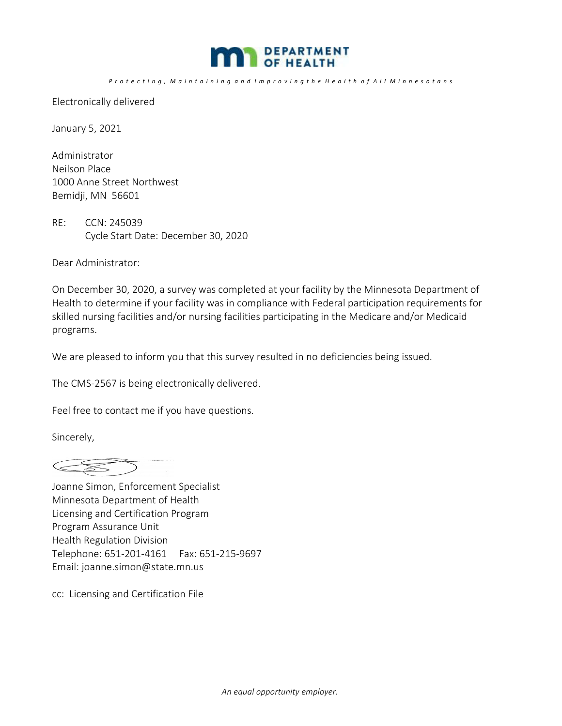

## Protecting, Maintaining and Improving the Health of All Minnesotans

Electronically delivered

January 5, 2021

Administrator Neilson Place 1000 Anne Street Northwest Bemidji, MN 56601

RE: CCN: 245039 Cycle Start Date: December 30, 2020

Dear Administrator:

On December 30, 2020, a survey was completed at your facility by the Minnesota Department of Health to determine if your facility was in compliance with Federal participation requirements for skilled nursing facilities and/or nursing facilities participating in the Medicare and/or Medicaid programs.

We are pleased to inform you that this survey resulted in no deficiencies being issued.

The CMS‐2567 is being electronically delivered.

Feel free to contact me if you have questions.

Sincerely,

 $\begin{picture}(120,20) \put(0,0){\line(1,0){10}} \put(15,0){\line(1,0){10}} \put(15,0){\line(1,0){10}} \put(15,0){\line(1,0){10}} \put(15,0){\line(1,0){10}} \put(15,0){\line(1,0){10}} \put(15,0){\line(1,0){10}} \put(15,0){\line(1,0){10}} \put(15,0){\line(1,0){10}} \put(15,0){\line(1,0){10}} \put(15,0){\line(1,0){10}} \put(15,0){\line($ 

Joanne Simon, Enforcement Specialist Minnesota Department of Health Licensing and Certification Program Program Assurance Unit Health Regulation Division Telephone: 651‐201‐4161 Fax: 651‐215‐9697 Email: joanne.simon@state.mn.us

cc: Licensing and Certification File